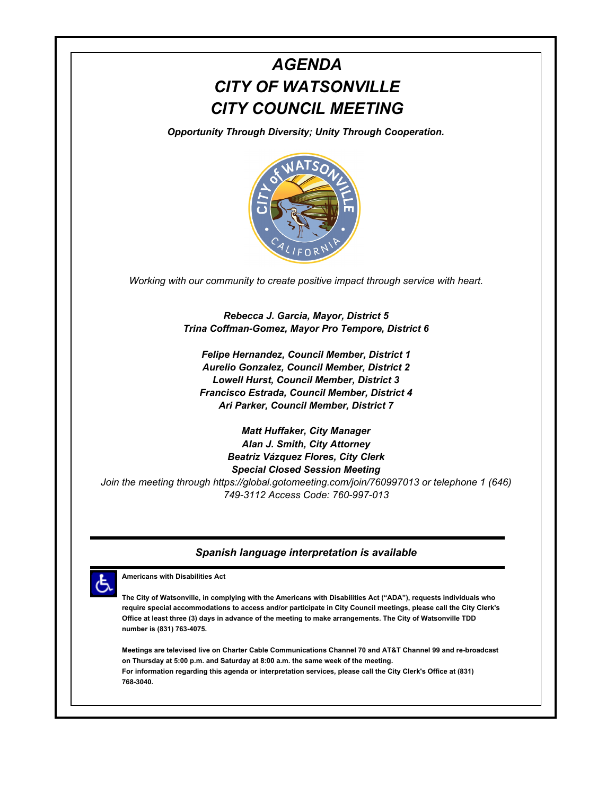# *AGENDA CITY OF WATSONVILLE CITY COUNCIL MEETING*

*Opportunity Through Diversity; Unity Through Cooperation.*



*Working with our community to create positive impact through service with heart.*

*Rebecca J. Garcia, Mayor, District 5 Trina Coffman-Gomez, Mayor Pro Tempore, District 6*

*Felipe Hernandez, Council Member, District 1 Aurelio Gonzalez, Council Member, District 2 Lowell Hurst, Council Member, District 3 Francisco Estrada, Council Member, District 4 Ari Parker, Council Member, District 7*

*Matt Huffaker, City Manager Alan J. Smith, City Attorney Beatriz Vázquez Flores, City Clerk Special Closed Session Meeting Join the meeting through https://global.gotomeeting.com/join/760997013 or telephone 1 (646) 749-3112 Access Code: 760-997-013*

#### *Spanish language interpretation is available*



**Americans with Disabilities Act**

**The City of Watsonville, in complying with the Americans with Disabilities Act ("ADA"), requests individuals who require special accommodations to access and/or participate in City Council meetings, please call the City Clerk's Office at least three (3) days in advance of the meeting to make arrangements. The City of Watsonville TDD number is (831) 763-4075.**

**Meetings are televised live on Charter Cable Communications Channel 70 and AT&T Channel 99 and re-broadcast on Thursday at 5:00 p.m. and Saturday at 8:00 a.m. the same week of the meeting. For information regarding this agenda or interpretation services, please call the City Clerk's Office at (831) 768-3040.**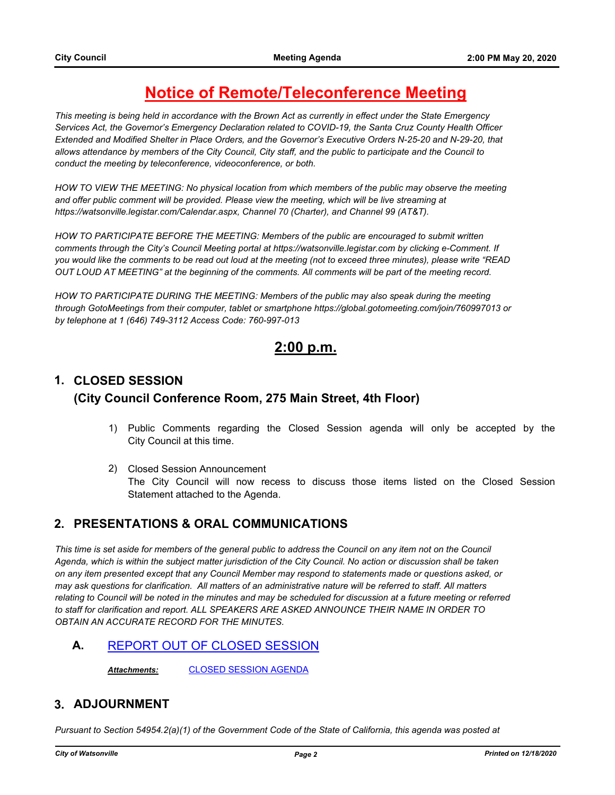## **Notice of Remote/Teleconference Meeting**

*This meeting is being held in accordance with the Brown Act as currently in effect under the State Emergency Services Act, the Governor's Emergency Declaration related to COVID-19, the Santa Cruz County Health Officer Extended and Modified Shelter in Place Orders, and the Governor's Executive Orders N-25-20 and N-29-20, that allows attendance by members of the City Council, City staff, and the public to participate and the Council to conduct the meeting by teleconference, videoconference, or both.*

*HOW TO VIEW THE MEETING: No physical location from which members of the public may observe the meeting and offer public comment will be provided. Please view the meeting, which will be live streaming at https://watsonville.legistar.com/Calendar.aspx, Channel 70 (Charter), and Channel 99 (AT&T).* 

*HOW TO PARTICIPATE BEFORE THE MEETING: Members of the public are encouraged to submit written*  comments through the City's Council Meeting portal at https://watsonville.legistar.com by clicking e-Comment. If *you would like the comments to be read out loud at the meeting (not to exceed three minutes), please write "READ OUT LOUD AT MEETING" at the beginning of the comments. All comments will be part of the meeting record.* 

*HOW TO PARTICIPATE DURING THE MEETING: Members of the public may also speak during the meeting through GotoMeetings from their computer, tablet or smartphone https://global.gotomeeting.com/join/760997013 or by telephone at 1 (646) 749-3112 Access Code: 760-997-013*

## **2:00 p.m.**

## **1. CLOSED SESSION (City Council Conference Room, 275 Main Street, 4th Floor)**

- 1) Public Comments regarding the Closed Session agenda will only be accepted by the City Council at this time.
- 2) Closed Session Announcement The City Council will now recess to discuss those items listed on the Closed Session Statement attached to the Agenda.

#### **2. PRESENTATIONS & ORAL COMMUNICATIONS**

*This time is set aside for members of the general public to address the Council on any item not on the Council Agenda, which is within the subject matter jurisdiction of the City Council. No action or discussion shall be taken on any item presented except that any Council Member may respond to statements made or questions asked, or may ask questions for clarification. All matters of an administrative nature will be referred to staff. All matters relating to Council will be noted in the minutes and may be scheduled for discussion at a future meeting or referred to staff for clarification and report. ALL SPEAKERS ARE ASKED ANNOUNCE THEIR NAME IN ORDER TO OBTAIN AN ACCURATE RECORD FOR THE MINUTES.*

**A.** [REPORT OUT OF CLOSED SESSION](http://watsonville.legistar.com/gateway.aspx?m=l&id=/matter.aspx?key=3156)

*Attachments:* [CLOSED SESSION AGENDA](http://watsonville.legistar.com/gateway.aspx?M=F&ID=dcb6720d-4f0f-4303-9bd6-c06307312333.pdf)

#### **3. ADJOURNMENT**

*Pursuant to Section 54954.2(a)(1) of the Government Code of the State of California, this agenda was posted at*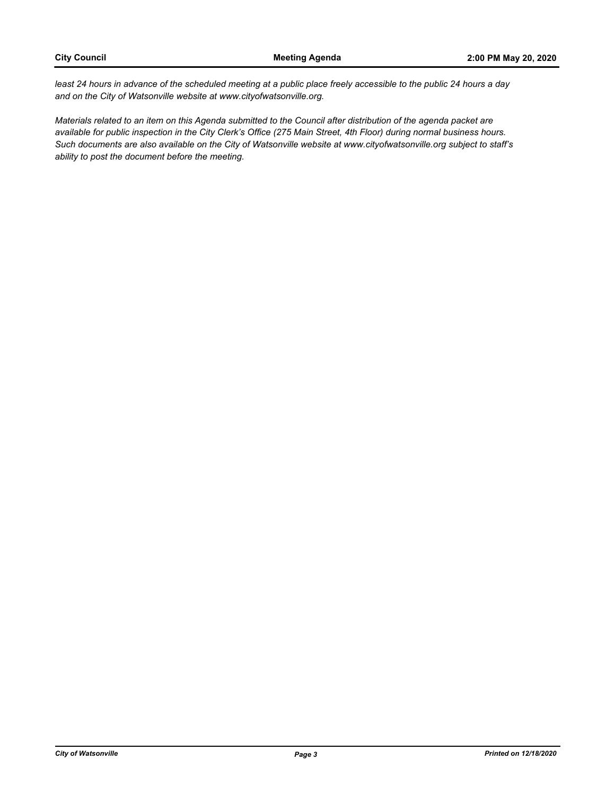least 24 hours in advance of the scheduled meeting at a public place freely accessible to the public 24 hours a day *and on the City of Watsonville website at www.cityofwatsonville.org.*

*Materials related to an item on this Agenda submitted to the Council after distribution of the agenda packet are available for public inspection in the City Clerk's Office (275 Main Street, 4th Floor) during normal business hours. Such documents are also available on the City of Watsonville website at www.cityofwatsonville.org subject to staff's ability to post the document before the meeting.*